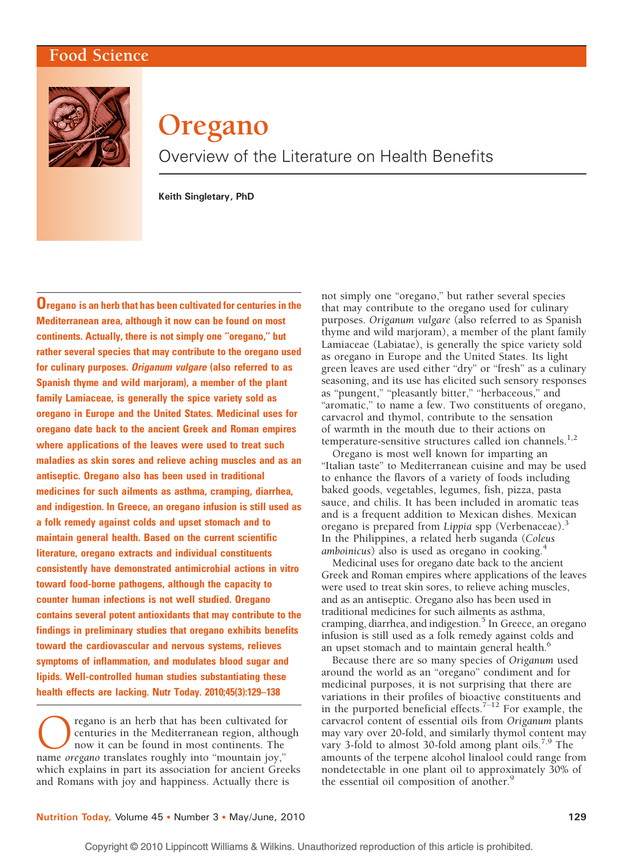# Food Science



# Oregano Overview of the Literature on Health Benefits

Keith Singletary, PhD

Oregano is an herb that has been cultivated for centuries in the Mediterranean area, although it now can be found on most continents. Actually, there is not simply one ''oregano,'' but rather several species that may contribute to the oregano used for culinary purposes. Origanum vulgare (also referred to as Spanish thyme and wild marjoram), a member of the plant family Lamiaceae, is generally the spice variety sold as oregano in Europe and the United States. Medicinal uses for oregano date back to the ancient Greek and Roman empires where applications of the leaves were used to treat such maladies as skin sores and relieve aching muscles and as an antiseptic. Oregano also has been used in traditional medicines for such ailments as asthma, cramping, diarrhea, and indigestion. In Greece, an oregano infusion is still used as a folk remedy against colds and upset stomach and to maintain general health. Based on the current scientific literature, oregano extracts and individual constituents consistently have demonstrated antimicrobial actions in vitro toward food-borne pathogens, although the capacity to counter human infections is not well studied. Oregano contains several potent antioxidants that may contribute to the findings in preliminary studies that oregano exhibits benefits toward the cardiovascular and nervous systems, relieves symptoms of inflammation, and modulates blood sugar and lipids. Well-controlled human studies substantiating these health effects are lacking. Nutr Today. 2010;45(3):129–138

**O**regano is an herb that has been cultivated for centuries in the Mediterranean region, althou now it can be found in most continents. The name *oregano* translates roughly into "mountain joy," centuries in the Mediterranean region, although now it can be found in most continents. The name *oregano* translates roughly into "mountain joy," which explains in part its association for ancient Greeks and Romans with joy and happiness. Actually there is

not simply one ''oregano,'' but rather several species that may contribute to the oregano used for culinary purposes. Origanum vulgare (also referred to as Spanish thyme and wild marjoram), a member of the plant family Lamiaceae (Labiatae), is generally the spice variety sold as oregano in Europe and the United States. Its light green leaves are used either ''dry'' or ''fresh'' as a culinary seasoning, and its use has elicited such sensory responses as ''pungent,'' ''pleasantly bitter,'' ''herbaceous,'' and "aromatic," to name a few. Two constituents of oregano, carvacrol and thymol, contribute to the sensation of warmth in the mouth due to their actions on temperature-sensitive structures called ion channels.<sup>1,2</sup>

Oregano is most well known for imparting an ''Italian taste'' to Mediterranean cuisine and may be used to enhance the flavors of a variety of foods including baked goods, vegetables, legumes, fish, pizza, pasta sauce, and chilis. It has been included in aromatic teas and is a frequent addition to Mexican dishes. Mexican oregano is prepared from Lippia spp (Verbenaceae).<sup>3</sup> In the Philippines, a related herb suganda (Coleus *amboinicus*) also is used as oregano in cooking.<sup>4</sup>

Medicinal uses for oregano date back to the ancient Greek and Roman empires where applications of the leaves were used to treat skin sores, to relieve aching muscles, and as an antiseptic. Oregano also has been used in traditional medicines for such ailments as asthma, cramping, diarrhea, and indigestion.<sup>5</sup> In Greece, an oregano infusion is still used as a folk remedy against colds and an upset stomach and to maintain general health.<sup>6</sup>

Because there are so many species of Origanum used around the world as an ''oregano'' condiment and for medicinal purposes, it is not surprising that there are variations in their profiles of bioactive constituents and in the purported beneficial effects.<sup> $7-12$ </sup> For example, the carvacrol content of essential oils from Origanum plants may vary over 20-fold, and similarly thymol content may vary 3-fold to almost 30-fold among plant oils.<sup>7,9</sup> The amounts of the terpene alcohol linalool could range from nondetectable in one plant oil to approximately 30% of the essential oil composition of another.<sup>9</sup>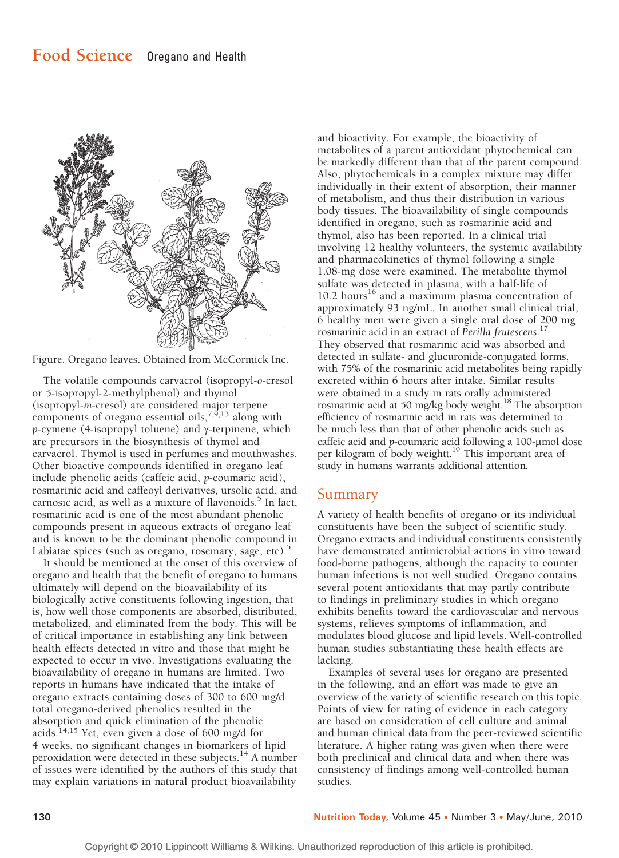

Figure. Oregano leaves. Obtained from McCormick Inc.

The volatile compounds carvacrol (isopropyl-o-cresol or 5-isopropyl-2-methylphenol) and thymol (isopropyl-m-cresol) are considered major terpene components of oregano essential oils,<sup>7,9,13</sup> along with  $p$ -cymene (4-isopropyl toluene) and  $\gamma$ -terpinene, which are precursors in the biosynthesis of thymol and carvacrol. Thymol is used in perfumes and mouthwashes. Other bioactive compounds identified in oregano leaf include phenolic acids (caffeic acid, p-coumaric acid), rosmarinic acid and caffeoyl derivatives, ursolic acid, and carnosic acid, as well as a mixture of flavonoids. $5$  In fact, rosmarinic acid is one of the most abundant phenolic compounds present in aqueous extracts of oregano leaf and is known to be the dominant phenolic compound in Labiatae spices (such as oregano, rosemary, sage, etc). $5$ 

It should be mentioned at the onset of this overview of oregano and health that the benefit of oregano to humans ultimately will depend on the bioavailability of its biologically active constituents following ingestion, that is, how well those components are absorbed, distributed, metabolized, and eliminated from the body. This will be of critical importance in establishing any link between health effects detected in vitro and those that might be expected to occur in vivo. Investigations evaluating the bioavailability of oregano in humans are limited. Two reports in humans have indicated that the intake of oregano extracts containing doses of 300 to 600 mg/d total oregano-derived phenolics resulted in the absorption and quick elimination of the phenolic acids.<sup>14,15</sup> Yet, even given a dose of 600 mg/d for 4 weeks, no significant changes in biomarkers of lipid peroxidation were detected in these subjects.<sup>14</sup> A number of issues were identified by the authors of this study that may explain variations in natural product bioavailability

and bioactivity. For example, the bioactivity of metabolites of a parent antioxidant phytochemical can be markedly different than that of the parent compound. Also, phytochemicals in a complex mixture may differ individually in their extent of absorption, their manner of metabolism, and thus their distribution in various body tissues. The bioavailability of single compounds identified in oregano, such as rosmarinic acid and thymol, also has been reported. In a clinical trial involving 12 healthy volunteers, the systemic availability and pharmacokinetics of thymol following a single 1.08-mg dose were examined. The metabolite thymol sulfate was detected in plasma, with a half-life of  $10.2$  hours<sup>16</sup> and a maximum plasma concentration of approximately 93 ng/mL. In another small clinical trial, 6 healthy men were given a single oral dose of 200 mg rosmarinic acid in an extract of Perilla frutescens.<sup>17</sup> They observed that rosmarinic acid was absorbed and detected in sulfate- and glucuronide-conjugated forms, with 75% of the rosmarinic acid metabolites being rapidly excreted within 6 hours after intake. Similar results were obtained in a study in rats orally administered rosmarinic acid at 50 mg/kg body weight.<sup>18</sup> The absorption efficiency of rosmarinic acid in rats was determined to be much less than that of other phenolic acids such as caffeic acid and  $p$ -coumaric acid following a 100- $\mu$ mol dose per kilogram of body weightt.<sup>19</sup> This important area of study in humans warrants additional attention.

## Summary

A variety of health benefits of oregano or its individual constituents have been the subject of scientific study. Oregano extracts and individual constituents consistently have demonstrated antimicrobial actions in vitro toward food-borne pathogens, although the capacity to counter human infections is not well studied. Oregano contains several potent antioxidants that may partly contribute to findings in preliminary studies in which oregano exhibits benefits toward the cardiovascular and nervous systems, relieves symptoms of inflammation, and modulates blood glucose and lipid levels. Well-controlled human studies substantiating these health effects are lacking.

Examples of several uses for oregano are presented in the following, and an effort was made to give an overview of the variety of scientific research on this topic. Points of view for rating of evidence in each category are based on consideration of cell culture and animal and human clinical data from the peer-reviewed scientific literature. A higher rating was given when there were both preclinical and clinical data and when there was consistency of findings among well-controlled human studies.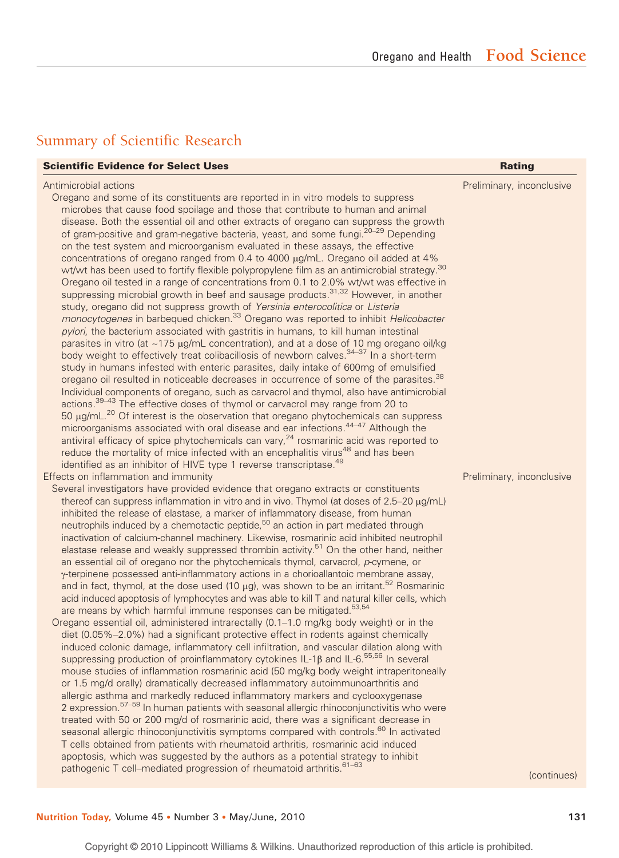# Summary of Scientific Research

| <b>Scientific Evidence for Select Uses</b>                                                                                                                                                                                                                                                                                                                                                                                                                                                                                                                                                                                                                                                                                                                                                                                                                                                                                                                                                                                                                                                                                                                                                                                                                                                                                                                                                                                                                                                                                                                                                                                                                                                                                                                                                                                                                                                                                                                                                                                                                                                                                                                                                                                                                                                                        | <b>Rating</b>                            |
|-------------------------------------------------------------------------------------------------------------------------------------------------------------------------------------------------------------------------------------------------------------------------------------------------------------------------------------------------------------------------------------------------------------------------------------------------------------------------------------------------------------------------------------------------------------------------------------------------------------------------------------------------------------------------------------------------------------------------------------------------------------------------------------------------------------------------------------------------------------------------------------------------------------------------------------------------------------------------------------------------------------------------------------------------------------------------------------------------------------------------------------------------------------------------------------------------------------------------------------------------------------------------------------------------------------------------------------------------------------------------------------------------------------------------------------------------------------------------------------------------------------------------------------------------------------------------------------------------------------------------------------------------------------------------------------------------------------------------------------------------------------------------------------------------------------------------------------------------------------------------------------------------------------------------------------------------------------------------------------------------------------------------------------------------------------------------------------------------------------------------------------------------------------------------------------------------------------------------------------------------------------------------------------------------------------------|------------------------------------------|
| Antimicrobial actions<br>Oregano and some of its constituents are reported in in vitro models to suppress<br>microbes that cause food spoilage and those that contribute to human and animal<br>disease. Both the essential oil and other extracts of oregano can suppress the growth<br>of gram-positive and gram-negative bacteria, yeast, and some fungi. <sup>20-29</sup> Depending<br>on the test system and microorganism evaluated in these assays, the effective<br>concentrations of oregano ranged from 0.4 to 4000 µg/mL. Oregano oil added at 4%<br>wt/wt has been used to fortify flexible polypropylene film as an antimicrobial strategy. <sup>30</sup><br>Oregano oil tested in a range of concentrations from 0.1 to 2.0% wt/wt was effective in<br>suppressing microbial growth in beef and sausage products. <sup>31,32</sup> However, in another<br>study, oregano did not suppress growth of Yersinia enterocolitica or Listeria<br>monocytogenes in barbequed chicken. <sup>33</sup> Oregano was reported to inhibit Helicobacter<br>pylori, the bacterium associated with gastritis in humans, to kill human intestinal<br>parasites in vitro (at ~175 μg/mL concentration), and at a dose of 10 mg oregano oil/kg<br>body weight to effectively treat colibacillosis of newborn calves. <sup>34-37</sup> In a short-term<br>study in humans infested with enteric parasites, daily intake of 600mg of emulsified<br>oregano oil resulted in noticeable decreases in occurrence of some of the parasites. <sup>38</sup><br>Individual components of oregano, such as carvacrol and thymol, also have antimicrobial<br>actions. <sup>39-43</sup> The effective doses of thymol or carvacrol may range from 20 to<br>50 µg/mL. <sup>20</sup> Of interest is the observation that oregano phytochemicals can suppress<br>microorganisms associated with oral disease and ear infections. <sup>44-47</sup> Although the<br>antiviral efficacy of spice phytochemicals can vary, $24$ rosmarinic acid was reported to<br>reduce the mortality of mice infected with an encephalitis virus <sup>48</sup> and has been<br>identified as an inhibitor of HIVE type 1 reverse transcriptase. <sup>49</sup>                                                                                          | Preliminary, inconclusive                |
| Effects on inflammation and immunity<br>Several investigators have provided evidence that oregano extracts or constituents<br>thereof can suppress inflammation in vitro and in vivo. Thymol (at doses of 2.5-20 μg/mL)<br>inhibited the release of elastase, a marker of inflammatory disease, from human<br>neutrophils induced by a chemotactic peptide, <sup>50</sup> an action in part mediated through<br>inactivation of calcium-channel machinery. Likewise, rosmarinic acid inhibited neutrophil<br>elastase release and weakly suppressed thrombin activity. <sup>51</sup> On the other hand, neither<br>an essential oil of oregano nor the phytochemicals thymol, carvacrol, p-cymene, or<br>y-terpinene possessed anti-inflammatory actions in a chorioallantoic membrane assay,<br>and in fact, thymol, at the dose used (10 $\mu$ g), was shown to be an irritant. <sup>52</sup> Rosmarinic<br>acid induced apoptosis of lymphocytes and was able to kill T and natural killer cells, which<br>are means by which harmful immune responses can be mitigated. <sup>53,54</sup><br>Oregano essential oil, administered intrarectally (0.1-1.0 mg/kg body weight) or in the<br>diet (0.05%-2.0%) had a significant protective effect in rodents against chemically<br>induced colonic damage, inflammatory cell infiltration, and vascular dilation along with<br>suppressing production of proinflammatory cytokines IL-1 $\beta$ and IL-6. <sup>55,56</sup> In several<br>mouse studies of inflammation rosmarinic acid (50 mg/kg body weight intraperitoneally<br>or 1.5 mg/d orally) dramatically decreased inflammatory autoimmunoarthritis and<br>allergic asthma and markedly reduced inflammatory markers and cyclooxygenase<br>2 expression. <sup>57-59</sup> In human patients with seasonal allergic rhinoconjunctivitis who were<br>treated with 50 or 200 mg/d of rosmarinic acid, there was a significant decrease in<br>seasonal allergic rhinoconjunctivitis symptoms compared with controls. <sup>60</sup> In activated<br>T cells obtained from patients with rheumatoid arthritis, rosmarinic acid induced<br>apoptosis, which was suggested by the authors as a potential strategy to inhibit<br>pathogenic T cell-mediated progression of rheumatoid arthritis. <sup>61-63</sup> | Preliminary, inconclusive<br>(continues) |

### Nutrition Today, Volume 45 · Number 3 · May/June, 2010 131

Copyright @ 2010 Lippincott Williams & Wilkins. Unauthorized reproduction of this article is prohibited.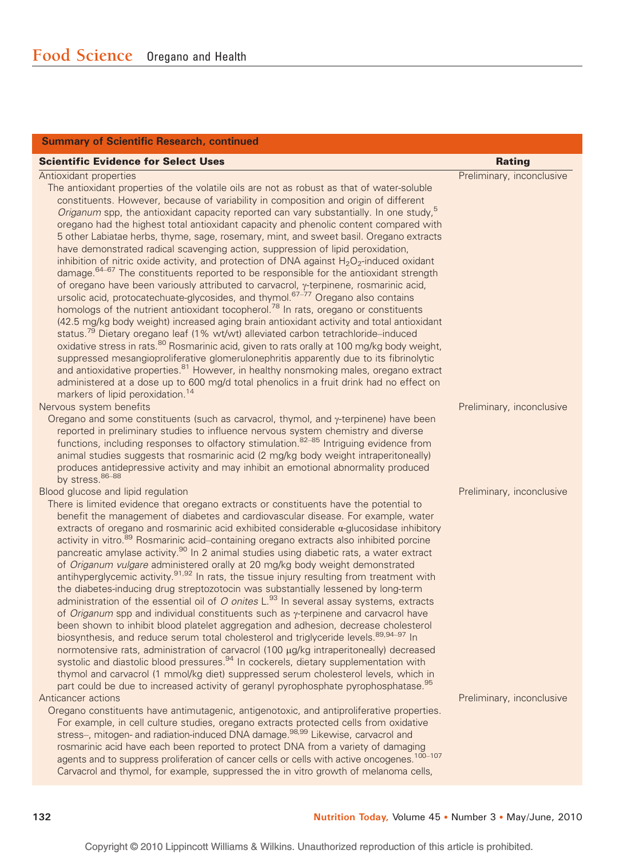#### Summary of Scientific Research, continued

#### **Scientific Evidence for Select Uses Rating Activities Activities Activities Activities Rating Activities Activ**

#### Antioxidant properties **Preliminary, inconclusive** Preliminary, inconclusive

The antioxidant properties of the volatile oils are not as robust as that of water-soluble constituents. However, because of variability in composition and origin of different Origanum spp, the antioxidant capacity reported can vary substantially. In one study,<sup>5</sup> oregano had the highest total antioxidant capacity and phenolic content compared with 5 other Labiatae herbs, thyme, sage, rosemary, mint, and sweet basil. Oregano extracts have demonstrated radical scavenging action, suppression of lipid peroxidation, inhibition of nitric oxide activity, and protection of DNA against  $H_2O_2$ -induced oxidant damage.<sup>64-67</sup> The constituents reported to be responsible for the antioxidant strength of oregano have been variously attributed to carvacrol, y-terpinene, rosmarinic acid, ursolic acid, protocatechuate-glycosides, and thymol.<sup>67-77</sup> Oregano also contains homologs of the nutrient antioxidant tocopherol.<sup>78</sup> In rats, oregano or constituents (42.5 mg/kg body weight) increased aging brain antioxidant activity and total antioxidant status.<sup>79</sup> Dietary oregano leaf (1% wt/wt) alleviated carbon tetrachloride-induced oxidative stress in rats.<sup>80</sup> Rosmarinic acid, given to rats orally at 100 mg/kg body weight, suppressed mesangioproliferative glomerulonephritis apparently due to its fibrinolytic and antioxidative properties.<sup>81</sup> However, in healthy nonsmoking males, oregano extract administered at a dose up to 600 mg/d total phenolics in a fruit drink had no effect on markers of lipid peroxidation.<sup>14</sup>

Oregano and some constituents (such as carvacrol, thymol, and  $\gamma$ -terpinene) have been reported in preliminary studies to influence nervous system chemistry and diverse functions, including responses to olfactory stimulation.<sup>82-85</sup> Intriguing evidence from animal studies suggests that rosmarinic acid (2 mg/kg body weight intraperitoneally) produces antidepressive activity and may inhibit an emotional abnormality produced by stress.<sup>86-88</sup>

#### Blood glucose and lipid regulation **Preliminary, inconclusive** Preliminary, inconclusive

There is limited evidence that oregano extracts or constituents have the potential to benefit the management of diabetes and cardiovascular disease. For example, water extracts of oregano and rosmarinic acid exhibited considerable  $\alpha$ -glucosidase inhibitory activity in vitro.<sup>89</sup> Rosmarinic acid-containing oregano extracts also inhibited porcine pancreatic amylase activity.<sup>90</sup> In 2 animal studies using diabetic rats, a water extract of Origanum vulgare administered orally at 20 mg/kg body weight demonstrated antihyperglycemic activity.<sup>91,92</sup> In rats, the tissue injury resulting from treatment with the diabetes-inducing drug streptozotocin was substantially lessened by long-term administration of the essential oil of  $O$  onites  $L^{93}$  In several assay systems, extracts of Origanum spp and individual constituents such as  $\gamma$ -terpinene and carvacrol have been shown to inhibit blood platelet aggregation and adhesion, decrease cholesterol biosynthesis, and reduce serum total cholesterol and triglyceride levels.<sup>89,94-97</sup> In normotensive rats, administration of carvacrol (100 µg/kg intraperitoneally) decreased systolic and diastolic blood pressures.<sup>94</sup> In cockerels, dietary supplementation with thymol and carvacrol (1 mmol/kg diet) suppressed serum cholesterol levels, which in part could be due to increased activity of geranyl pyrophosphate pyrophosphatase.<sup>95</sup> Anticancer actions Preliminary, inconclusive

Oregano constituents have antimutagenic, antigenotoxic, and antiproliferative properties. For example, in cell culture studies, oregano extracts protected cells from oxidative stress-, mitogen- and radiation-induced DNA damage.<sup>98,99</sup> Likewise, carvacrol and rosmarinic acid have each been reported to protect DNA from a variety of damaging<br>agents and to suppress proliferation of cancer cells or cells with active oncogenes.<sup>100–107</sup> Carvacrol and thymol, for example, suppressed the in vitro growth of melanoma cells,

Nervous system benefits **Preliminary, inconclusive** Preliminary, inconclusive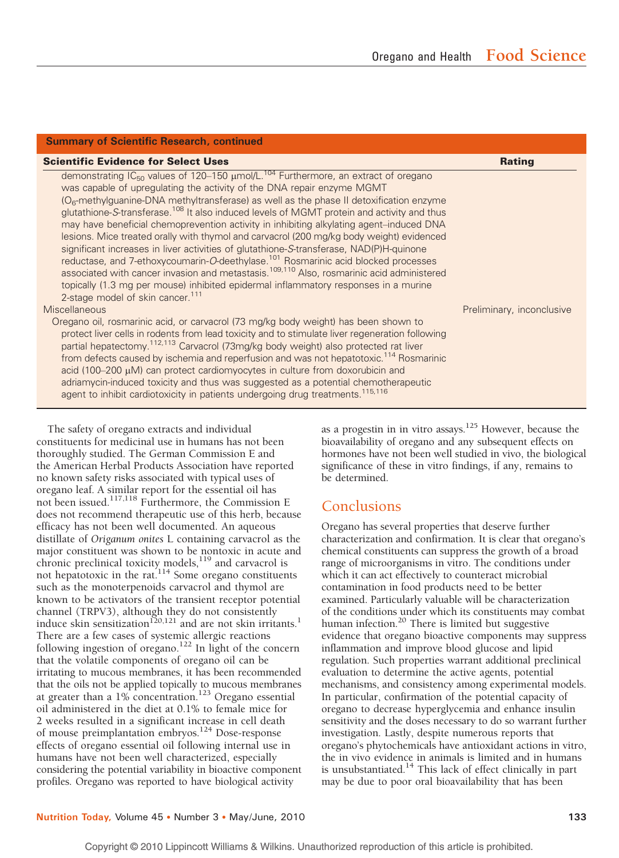| <b>Summary of Scientific Research, continued</b>                                                                                                                                                                                                                                                                                                                                                                                                                                                                                                                                                                                                                                                                                                                                                                                                                                                                                                                                                                         |                           |
|--------------------------------------------------------------------------------------------------------------------------------------------------------------------------------------------------------------------------------------------------------------------------------------------------------------------------------------------------------------------------------------------------------------------------------------------------------------------------------------------------------------------------------------------------------------------------------------------------------------------------------------------------------------------------------------------------------------------------------------------------------------------------------------------------------------------------------------------------------------------------------------------------------------------------------------------------------------------------------------------------------------------------|---------------------------|
| <b>Scientific Evidence for Select Uses</b>                                                                                                                                                                                                                                                                                                                                                                                                                                                                                                                                                                                                                                                                                                                                                                                                                                                                                                                                                                               | <b>Rating</b>             |
| demonstrating $IC_{50}$ values of 120–150 µmol/L. <sup>104</sup> Furthermore, an extract of oregano<br>was capable of upregulating the activity of the DNA repair enzyme MGMT<br>$(O6$ -methylguanine-DNA methyltransferase) as well as the phase II detoxification enzyme<br>glutathione-S-transferase. <sup>108</sup> It also induced levels of MGMT protein and activity and thus<br>may have beneficial chemoprevention activity in inhibiting alkylating agent-induced DNA<br>lesions. Mice treated orally with thymol and carvacrol (200 mg/kg body weight) evidenced<br>significant increases in liver activities of glutathione-S-transferase, NAD(P)H-quinone<br>reductase, and 7-ethoxycoumarin-O-deethylase. <sup>101</sup> Rosmarinic acid blocked processes<br>associated with cancer invasion and metastasis. <sup>109,110</sup> Also, rosmarinic acid administered<br>topically (1.3 mg per mouse) inhibited epidermal inflammatory responses in a murine<br>2-stage model of skin cancer. <sup>111</sup> |                           |
| <b>Miscellaneous</b>                                                                                                                                                                                                                                                                                                                                                                                                                                                                                                                                                                                                                                                                                                                                                                                                                                                                                                                                                                                                     | Preliminary, inconclusive |
| Oregano oil, rosmarinic acid, or carvacrol (73 mg/kg body weight) has been shown to<br>protect liver cells in rodents from lead toxicity and to stimulate liver regeneration following<br>partial hepatectomy. <sup>112,113</sup> Carvacrol (73mg/kg body weight) also protected rat liver<br>from defects caused by ischemia and reperfusion and was not hepatotoxic. <sup>114</sup> Rosmarinic<br>acid (100-200 µM) can protect cardiomyocytes in culture from doxorubicin and<br>adriamycin-induced toxicity and thus was suggested as a potential chemotherapeutic<br>agent to inhibit cardiotoxicity in patients undergoing drug treatments. <sup>115,116</sup>                                                                                                                                                                                                                                                                                                                                                     |                           |

The safety of oregano extracts and individual constituents for medicinal use in humans has not been thoroughly studied. The German Commission E and the American Herbal Products Association have reported no known safety risks associated with typical uses of oregano leaf. A similar report for the essential oil has not been issued.117,118 Furthermore, the Commission E does not recommend therapeutic use of this herb, because efficacy has not been well documented. An aqueous distillate of Origanum onites L containing carvacrol as the major constituent was shown to be nontoxic in acute and chronic preclinical toxicity models,<sup>119</sup> and carvacrol is not hepatotoxic in the rat.<sup>114</sup> Some oregano constituents such as the monoterpenoids carvacrol and thymol are known to be activators of the transient receptor potential channel (TRPV3), although they do not consistently induce skin sensitization<sup>120,121</sup> and are not skin irritants.<sup>1</sup> There are a few cases of systemic allergic reactions following ingestion of oregano.<sup>122</sup> In light of the concern that the volatile components of oregano oil can be irritating to mucous membranes, it has been recommended that the oils not be applied topically to mucous membranes at greater than a 1% concentration.<sup>123</sup> Oregano essential oil administered in the diet at 0.1% to female mice for 2 weeks resulted in a significant increase in cell death of mouse preimplantation embryos.124 Dose-response effects of oregano essential oil following internal use in humans have not been well characterized, especially considering the potential variability in bioactive component profiles. Oregano was reported to have biological activity

as a progestin in in vitro assays.<sup>125</sup> However, because the bioavailability of oregano and any subsequent effects on hormones have not been well studied in vivo, the biological significance of these in vitro findings, if any, remains to be determined.

# **Conclusions**

Oregano has several properties that deserve further characterization and confirmation. It is clear that oregano's chemical constituents can suppress the growth of a broad range of microorganisms in vitro. The conditions under which it can act effectively to counteract microbial contamination in food products need to be better examined. Particularly valuable will be characterization of the conditions under which its constituents may combat human infection.<sup>20</sup> There is limited but suggestive evidence that oregano bioactive components may suppress inflammation and improve blood glucose and lipid regulation. Such properties warrant additional preclinical evaluation to determine the active agents, potential mechanisms, and consistency among experimental models. In particular, confirmation of the potential capacity of oregano to decrease hyperglycemia and enhance insulin sensitivity and the doses necessary to do so warrant further investigation. Lastly, despite numerous reports that oregano's phytochemicals have antioxidant actions in vitro, the in vivo evidence in animals is limited and in humans is unsubstantiated.<sup>14</sup> This lack of effect clinically in part may be due to poor oral bioavailability that has been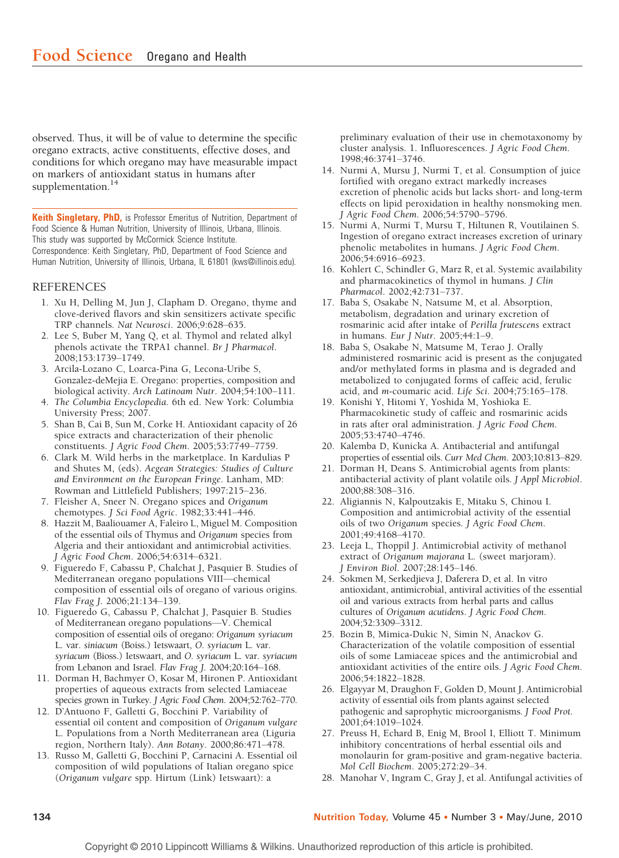observed. Thus, it will be of value to determine the specific oregano extracts, active constituents, effective doses, and conditions for which oregano may have measurable impact on markers of antioxidant status in humans after supplementation.<sup>14</sup>

Keith Singletary, PhD, is Professor Emeritus of Nutrition, Department of Food Science & Human Nutrition, University of Illinois, Urbana, Illinois. This study was supported by McCormick Science Institute. Correspondence: Keith Singletary, PhD, Department of Food Science and Human Nutrition, University of Illinois, Urbana, IL 61801 (kws@illinois.edu).

#### REFERENCES

- 1. Xu H, Delling M, Jun J, Clapham D. Oregano, thyme and clove-derived flavors and skin sensitizers activate specific TRP channels. *Nat Neurosci*. 2006;9:628–635.
- 2. Lee S, Buber M, Yang Q, et al. Thymol and related alkyl phenols activate the TRPA1 channel. Br J Pharmacol. 2008;153:1739-1749.
- 3. Arcila-Lozano C, Loarca-Pina G, Lecona-Uribe S, Gonzalez-deMejia E. Oregano: properties, composition and biological activity. Arch Latinoam Nutr. 2004;54:100-111.
- 4. The Columbia Encyclopedia. 6th ed. New York: Columbia University Press; 2007.
- 5. Shan B, Cai B, Sun M, Corke H. Antioxidant capacity of 26 spice extracts and characterization of their phenolic constituents. J Agric Food Chem. 2005;53:7749-7759.
- 6. Clark M. Wild herbs in the marketplace. In Kardulias P and Shutes M, (eds). Aegean Strategies: Studies of Culture and Environment on the European Fringe. Lanham, MD: Rowman and Littlefield Publishers; 1997:215-236.
- 7. Fleisher A, Sneer N. Oregano spices and Origanum chemotypes. J Sci Food Agric. 1982;33:441-446.
- 8. Hazzit M, Baaliouamer A, Faleiro L, Miguel M. Composition of the essential oils of Thymus and Origanum species from Algeria and their antioxidant and antimicrobial activities. J Agric Food Chem. 2006;54:6314-6321.
- 9. Figueredo F, Cabassu P, Chalchat J, Pasquier B. Studies of Mediterranean oregano populations VIII-chemical composition of essential oils of oregano of various origins. Flav Frag J. 2006;21:134-139.
- 10. Figueredo G, Cabassu P, Chalchat J, Pasquier B. Studies of Mediterranean oregano populations-V. Chemical composition of essential oils of oregano: Origanum syriacum L. var. siniacum (Boiss.) Ietswaart, O. syriacum L. var. syriacum (Bioss.) Ietswaart, and O. syriacum L. var. syriacum from Lebanon and Israel. Flav Frag J. 2004;20:164-168.
- 11. Dorman H, Bachmyer O, Kosar M, Hironen P. Antioxidant properties of aqueous extracts from selected Lamiaceae species grown in Turkey. J Agric Food Chem. 2004;52:762-770.
- 12. D'Antuono F, Galletti G, Bocchini P. Variability of essential oil content and composition of Origanum vulgare L. Populations from a North Mediterranean area (Liguria region, Northern Italy). Ann Botany. 2000;86:471-478.
- 13. Russo M, Galletti G, Bocchini P, Carnacini A. Essential oil composition of wild populations of Italian oregano spice (Origanum vulgare spp. Hirtum (Link) Ietswaart): a

preliminary evaluation of their use in chemotaxonomy by cluster analysis. 1. Influorescences. J Agric Food Chem. 1998;46:3741-3746.

- 14. Nurmi A, Mursu J, Nurmi T, et al. Consumption of juice fortified with oregano extract markedly increases excretion of phenolic acids but lacks short- and long-term effects on lipid peroxidation in healthy nonsmoking men. J Agric Food Chem. 2006;54:5790-5796.
- 15. Nurmi A, Nurmi T, Mursu T, Hiltunen R, Voutilainen S. Ingestion of oregano extract increases excretion of urinary phenolic metabolites in humans. J Agric Food Chem. 2006;54:6916-6923.
- 16. Kohlert C, Schindler G, Marz R, et al. Systemic availability and pharmacokinetics of thymol in humans. J Clin Pharmacol. 2002;42:731-737.
- 17. Baba S, Osakabe N, Natsume M, et al. Absorption, metabolism, degradation and urinary excretion of rosmarinic acid after intake of Perilla frutescens extract in humans. Eur J Nutr. 2005;44:1-9.
- 18. Baba S, Osakabe N, Matsume M, Terao J. Orally administered rosmarinic acid is present as the conjugated and/or methylated forms in plasma and is degraded and metabolized to conjugated forms of caffeic acid, ferulic acid, and m-coumaric acid. Life Sci.  $2004;75:165-178$ .
- 19. Konishi Y, Hitomi Y, Yoshida M, Yoshioka E. Pharmacokinetic study of caffeic and rosmarinic acids in rats after oral administration. J Agric Food Chem. 2005;53:4740-4746.
- 20. Kalemba D, Kunicka A. Antibacterial and antifungal properties of essential oils. Curr Med Chem. 2003;10:813-829.
- 21. Dorman H, Deans S. Antimicrobial agents from plants: antibacterial activity of plant volatile oils. J Appl Microbiol. 2000;88:308-316.
- 22. Aligiannis N, Kalpoutzakis E, Mitaku S, Chinou I. Composition and antimicrobial activity of the essential oils of two Origanum species. J Agric Food Chem. 2001;49:4168-4170.
- 23. Leeja L, Thoppil J. Antimicrobial activity of methanol extract of Origanum majorana L. (sweet marjoram). J Environ Biol. 2007;28:145-146.
- 24. Sokmen M, Serkedjieva J, Daferera D, et al. In vitro antioxidant, antimicrobial, antiviral activities of the essential oil and various extracts from herbal parts and callus cultures of Origanum acutidens. J Agric Food Chem. 2004;52:3309-3312.
- 25. Bozin B, Mimica-Dukic N, Simin N, Anackov G. Characterization of the volatile composition of essential oils of some Lamiaceae spices and the antimicrobial and antioxidant activities of the entire oils. J Agric Food Chem. 2006;54:1822-1828.
- 26. Elgayyar M, Draughon F, Golden D, Mount J. Antimicrobial activity of essential oils from plants against selected pathogenic and saprophytic microorganisms. J Food Prot. 2001;64:1019-1024.
- 27. Preuss H, Echard B, Enig M, Brool I, Elliott T. Minimum inhibitory concentrations of herbal essential oils and monolaurin for gram-positive and gram-negative bacteria. Mol Cell Biochem. 2005;272:29-34.
- 28. Manohar V, Ingram C, Gray J, et al. Antifungal activities of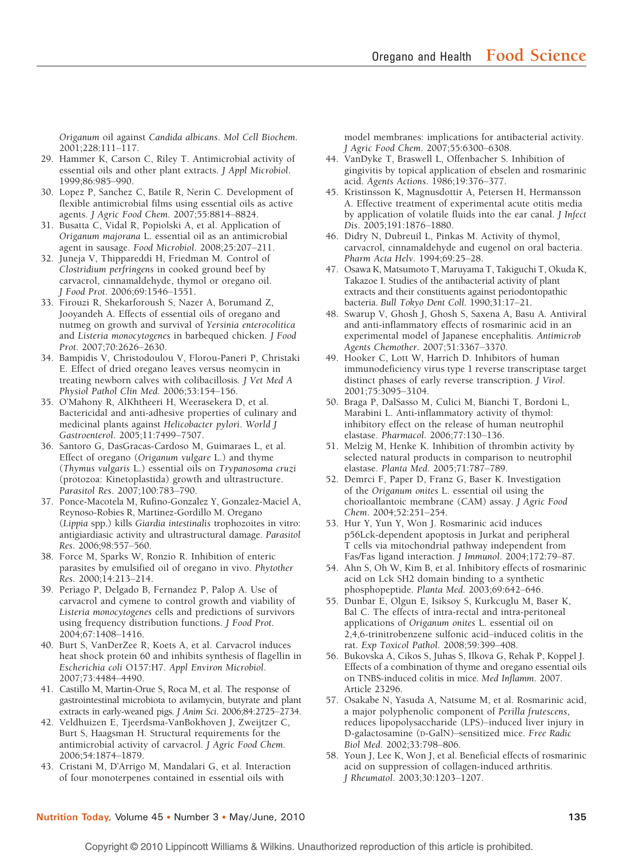Origanum oil against Candida albicans. Mol Cell Biochem. 2001;228:111-117.

- 29. Hammer K, Carson C, Riley T. Antimicrobial activity of essential oils and other plant extracts. J Appl Microbiol. 1999;86:985-990.
- 30. Lopez P, Sanchez C, Batile R, Nerin C. Development of flexible antimicrobial films using essential oils as active agents. J Agric Food Chem. 2007;55:8814-8824.
- 31. Busatta C, Vidal R, Popiolski A, et al. Application of Origanum majorana L. essential oil as an antimicrobial agent in sausage. Food Microbiol. 2008;25:207–211.
- 32. Juneja V, Thippareddi H, Friedman M. Control of Clostridium perfringens in cooked ground beef by carvacrol, cinnamaldehyde, thymol or oregano oil. J Food Prot. 2006;69:1546-1551.
- 33. Firouzi R, Shekarforoush S, Nazer A, Borumand Z, Jooyandeh A. Effects of essential oils of oregano and nutmeg on growth and survival of Yersinia enterocolitica and Listeria monocytogenes in barbequed chicken. J Food Prot. 2007;70:2626-2630.
- 34. Bampidis V, Christodoulou V, Florou-Paneri P, Christaki E. Effect of dried oregano leaves versus neomycin in treating newborn calves with colibacillosis. J Vet Med A Physiol Pathol Clin Med. 2006;53:154-156.
- 35. O'Mahony R, AlKhtheeri H, Weerasekera D, et al. Bactericidal and anti-adhesive properties of culinary and medicinal plants against Helicobacter pylori. World J Gastroenterol. 2005;11:7499-7507.
- 36. Santoro G, DasGracas-Cardoso M, Guimaraes L, et al. Effect of oregano (Origanum vulgare L.) and thyme (Thymus vulgaris L.) essential oils on Trypanosoma cruzi (protozoa: Kinetoplastida) growth and ultrastructure. Parasitol Res. 2007;100:783-790.
- 37. Ponce-Macotela M, Rufino-Gonzalez Y, Gonzalez-Maciel A, Reynoso-Robies R, Martinez-Gordillo M. Oregano (Lippia spp.) kills Giardia intestinalis trophozoites in vitro: antigiardiasic activity and ultrastructural damage. Parasitol Res. 2006;98:557-560.
- 38. Force M, Sparks W, Ronzio R. Inhibition of enteric parasites by emulsified oil of oregano in vivo. Phytother Res. 2000;14:213-214.
- 39. Periago P, Delgado B, Fernandez P, Palop A. Use of carvacrol and cymene to control growth and viability of Listeria monocytogenes cells and predictions of survivors using frequency distribution functions. J Food Prot. 2004;67:1408-1416.
- 40. Burt S, VanDerZee R, Koets A, et al. Carvacrol induces heat shock protein 60 and inhibits synthesis of flagellin in Escherichia coli O157:H7. Appl Environ Microbiol. 2007;73:4484-4490.
- 41. Castillo M, Martin-Orue S, Roca M, et al. The response of gastrointestinal microbiota to avilamycin, butyrate and plant extracts in early-weaned pigs. J Anim Sci. 2006;84:2725-2734.
- 42. Veldhuizen E, Tjeerdsma-VanBokhoven J, Zweijtzer C, Burt S, Haagsman H. Structural requirements for the antimicrobial activity of carvacrol. J Agric Food Chem. 2006;54:1874-1879.
- 43. Cristani M, D'Arrigo M, Mandalari G, et al. Interaction of four monoterpenes contained in essential oils with

model membranes: implications for antibacterial activity. J Agric Food Chem. 2007;55:6300-6308.

- 44. VanDyke T, Braswell L, Offenbacher S. Inhibition of gingivitis by topical application of ebselen and rosmarinic acid. Agents Actions. 1986;19:376-377.
- 45. Kristinsson K, Magnusdottir A, Petersen H, Hermansson A. Effective treatment of experimental acute otitis media by application of volatile fluids into the ear canal. J Infect Dis. 2005;191:1876-1880.
- 46. Didry N, Dubreuil L, Pinkas M. Activity of thymol, carvacrol, cinnamaldehyde and eugenol on oral bacteria. Pharm Acta Helv. 1994;69:25-28.
- 47. Osawa K, Matsumoto T, Maruyama T, Takiguchi T, Okuda K, Takazoe I. Studies of the antibacterial activity of plant extracts and their constituents against periodontopathic bacteria. Bull Tokyo Dent Coll. 1990;31:17-21.
- 48. Swarup V, Ghosh J, Ghosh S, Saxena A, Basu A. Antiviral and anti-inflammatory effects of rosmarinic acid in an experimental model of Japanese encephalitis. Antimicrob Agents Chemother. 2007;51:3367-3370.
- 49. Hooker C, Lott W, Harrich D. Inhibitors of human immunodeficiency virus type 1 reverse transcriptase target distinct phases of early reverse transcription. J Virol. 2001;75:3095-3104.
- 50. Braga P, DalSasso M, Culici M, Bianchi T, Bordoni L, Marabini L. Anti-inflammatory activity of thymol: inhibitory effect on the release of human neutrophil elastase. Pharmacol. 2006;77:130-136.
- 51. Melzig M, Henke K. Inhibition of thrombin activity by selected natural products in comparison to neutrophil elastase. Planta Med. 2005;71:787-789.
- 52. Demrci F, Paper D, Franz G, Baser K. Investigation of the Origanum onites L. essential oil using the chorioallantoic membrane (CAM) assay. J Agric Food Chem. 2004:52:251-254.
- 53. Hur Y, Yun Y, Won J. Rosmarinic acid induces p56Lck-dependent apoptosis in Jurkat and peripheral T cells via mitochondrial pathway independent from Fas/Fas ligand interaction. J Immunol. 2004;172:79-87.
- 54. Ahn S, Oh W, Kim B, et al. Inhibitory effects of rosmarinic acid on Lck SH2 domain binding to a synthetic phosphopeptide. Planta Med. 2003;69:642-646.
- 55. Dunbar E, Olgun E, Isiksoy S, Kurkcuglu M, Baser K, Bal C. The effects of intra-rectal and intra-peritoneal applications of Origanum onites L. essential oil on 2,4,6-trinitrobenzene sulfonic acid-induced colitis in the rat. Exp Toxicol Pathol. 2008;59:399-408.
- 56. Bukovska A, Cikos S, Juhas S, Ilkova G, Rehak P, Koppel J. Effects of a combination of thyme and oregano essential oils on TNBS-induced colitis in mice. Med Inflamm. 2007. Article 23296.
- 57. Osakabe N, Yasuda A, Natsume M, et al. Rosmarinic acid, a major polyphenolic component of Perilla frutescens, reduces lipopolysaccharide (LPS)–induced liver injury in D-galactosamine (D-GalN)-sensitized mice. Free Radic Biol Med. 2002;33:798-806.
- 58. Youn J, Lee K, Won J, et al. Beneficial effects of rosmarinic acid on suppression of collagen-induced arthritis. J Rheumatol. 2003;30:1203-1207.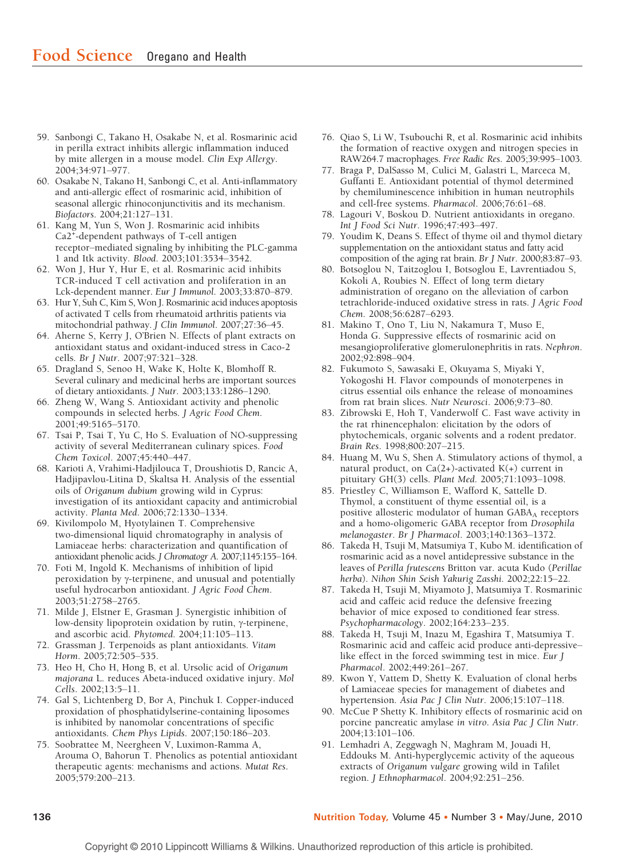- 59. Sanbongi C, Takano H, Osakabe N, et al. Rosmarinic acid in perilla extract inhibits allergic inflammation induced by mite allergen in a mouse model. Clin Exp Allergy. 2004;34:971-977.
- 60. Osakabe N, Takano H, Sanbongi C, et al. Anti-inflammatory and anti-allergic effect of rosmarinic acid, inhibition of seasonal allergic rhinoconjunctivitis and its mechanism. Biofactors. 2004;21:127-131.
- 61. Kang M, Yun S, Won J. Rosmarinic acid inhibits Ca2<sup>+</sup> -dependent pathways of T-cell antigen receptor–mediated signaling by inhibiting the PLC-gamma 1 and Itk activity. Blood. 2003;101:3534-3542.
- 62. Won J, Hur Y, Hur E, et al. Rosmarinic acid inhibits TCR-induced T cell activation and proliferation in an Lck-dependent manner. Eur J Immunol. 2003;33:870-879.
- 63. Hur Y, Suh C, Kim S, Won J. Rosmarinic acid induces apoptosis of activated T cells from rheumatoid arthritis patients via mitochondrial pathway. J Clin Immunol. 2007;27:36–45.
- 64. Aherne S, Kerry J, O'Brien N. Effects of plant extracts on antioxidant status and oxidant-induced stress in Caco-2 cells. Br J Nutr. 2007;97:321-328.
- 65. Dragland S, Senoo H, Wake K, Holte K, Blomhoff R. Several culinary and medicinal herbs are important sources of dietary antioxidants. J Nutr. 2003;133:1286-1290.
- 66. Zheng W, Wang S. Antioxidant activity and phenolic compounds in selected herbs. J Agric Food Chem. 2001;49:5165-5170.
- 67. Tsai P, Tsai T, Yu C, Ho S. Evaluation of NO-suppressing activity of several Mediterranean culinary spices. Food Chem Toxicol. 2007;45:440-447.
- 68. Karioti A, Vrahimi-Hadjilouca T, Droushiotis D, Rancic A, Hadjipavlou-Litina D, Skaltsa H. Analysis of the essential oils of Origanum dubium growing wild in Cyprus: investigation of its antioxidant capacity and antimicrobial activity. Planta Med. 2006;72:1330-1334.
- 69. Kivilompolo M, Hyotylainen T. Comprehensive two-dimensional liquid chromatography in analysis of Lamiaceae herbs: characterization and quantification of antioxidant phenolic acids. J Chromatogr A. 2007;1145:155-164.
- 70. Foti M, Ingold K. Mechanisms of inhibition of lipid peroxidation by  $\gamma$ -terpinene, and unusual and potentially useful hydrocarbon antioxidant. J Agric Food Chem. 2003;51:2758-2765.
- 71. Milde J, Elstner E, Grasman J. Synergistic inhibition of low-density lipoprotein oxidation by rutin, y-terpinene, and ascorbic acid. Phytomed.  $2004;11:105-113$ .
- 72. Grassman J. Terpenoids as plant antioxidants. Vitam Horm. 2005;72:505-535.
- 73. Heo H, Cho H, Hong B, et al. Ursolic acid of Origanum majorana L. reduces Abeta-induced oxidative injury. Mol Cells. 2002;13:5-11.
- 74. Gal S, Lichtenberg D, Bor A, Pinchuk I. Copper-induced proxidation of phosphatidylserine-containing liposomes is inhibited by nanomolar concentrations of specific antioxidants. Chem Phys Lipids. 2007;150:186-203.
- 75. Soobrattee M, Neergheen V, Luximon-Ramma A, Arouma O, Bahorun T. Phenolics as potential antioxidant therapeutic agents: mechanisms and actions. Mutat Res. 2005;579:200-213.
- 76. Qiao S, Li W, Tsubouchi R, et al. Rosmarinic acid inhibits the formation of reactive oxygen and nitrogen species in RAW264.7 macrophages. Free Radic Res. 2005;39:995-1003.
- 77. Braga P, DalSasso M, Culici M, Galastri L, Marceca M, Guffanti E. Antioxidant potential of thymol determined by chemiluminescence inhibition in human neutrophils and cell-free systems. Pharmacol. 2006;76:61-68.
- 78. Lagouri V, Boskou D. Nutrient antioxidants in oregano. Int J Food Sci Nutr. 1996;47:493-497.
- 79. Youdim K, Deans S. Effect of thyme oil and thymol dietary supplementation on the antioxidant status and fatty acid composition of the aging rat brain. Br J Nutr.  $2000;83:87-93$ .
- 80. Botsoglou N, Taitzoglou I, Botsoglou E, Lavrentiadou S, Kokoli A, Roubies N. Effect of long term dietary administration of oregano on the alleviation of carbon tetrachloride-induced oxidative stress in rats. J Agric Food Chem. 2008;56:6287-6293.
- 81. Makino T, Ono T, Liu N, Nakamura T, Muso E, Honda G. Suppressive effects of rosmarinic acid on mesangioproliferative glomerulonephritis in rats. Nephron. 2002;92:898-904.
- 82. Fukumoto S, Sawasaki E, Okuyama S, Miyaki Y, Yokogoshi H. Flavor compounds of monoterpenes in citrus essential oils enhance the release of monoamines from rat brain slices. Nutr Neurosci. 2006;9:73-80.
- 83. Zibrowski E, Hoh T, Vanderwolf C. Fast wave activity in the rat rhinencephalon: elicitation by the odors of phytochemicals, organic solvents and a rodent predator. Brain Res. 1998;800:207-215.
- 84. Huang M, Wu S, Shen A. Stimulatory actions of thymol, a natural product, on  $Ca(2+)$ -activated  $K(+)$  current in pituitary GH(3) cells. Plant Med. 2005;71:1093-1098.
- 85. Priestley C, Williamson E, Wafford K, Sattelle D. Thymol, a constituent of thyme essential oil, is a positive allosteric modulator of human GABAA receptors and a homo-oligomeric GABA receptor from Drosophila melanogaster. Br J Pharmacol. 2003;140:1363-1372.
- 86. Takeda H, Tsuji M, Matsumiya T, Kubo M. identification of rosmarinic acid as a novel antidepressive substance in the leaves of Perilla frutescens Britton var. acuta Kudo (Perillae herba). Nihon Shin Seish Yakurig Zasshi. 2002;22:15-22.
- 87. Takeda H, Tsuji M, Miyamoto J, Matsumiya T. Rosmarinic acid and caffeic acid reduce the defensive freezing behavior of mice exposed to conditioned fear stress. Psychopharmacology. 2002;164:233-235.
- 88. Takeda H, Tsuji M, Inazu M, Egashira T, Matsumiya T. Rosmarinic acid and caffeic acid produce anti-depressivelike effect in the forced swimming test in mice. Eur J Pharmacol. 2002;449:261-267.
- 89. Kwon Y, Vattem D, Shetty K. Evaluation of clonal herbs of Lamiaceae species for management of diabetes and hypertension. Asia Pac J Clin Nutr.  $2006;15:107-118$ .
- 90. McCue P Shetty K. Inhibitory effects of rosmarinic acid on porcine pancreatic amylase in vitro. Asia Pac J Clin Nutr. 2004;13:101-106.
- 91. Lemhadri A, Zeggwagh N, Maghram M, Jouadi H, Eddouks M. Anti-hyperglycemic activity of the aqueous extracts of Origanum vulgare growing wild in Tafilet region. J Ethnopharmacol. 2004;92:251-256.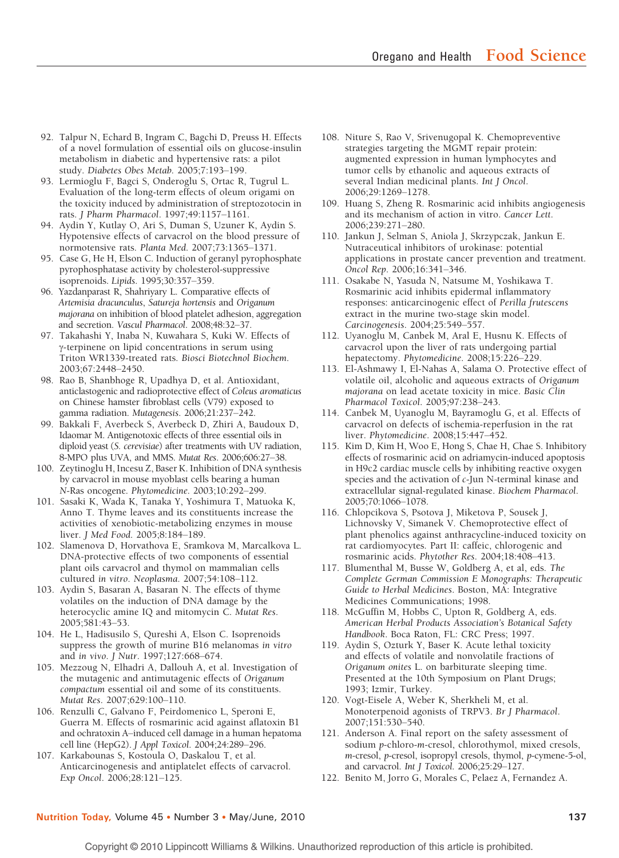- 92. Talpur N, Echard B, Ingram C, Bagchi D, Preuss H. Effects of a novel formulation of essential oils on glucose-insulin metabolism in diabetic and hypertensive rats: a pilot study. *Diabetes Obes Metab.* 2005;7:193–199.
- 93. Lermioglu F, Bagci S, Onderoglu S, Ortac R, Tugrul L. Evaluation of the long-term effects of oleum origami on the toxicity induced by administration of streptozotocin in rats. J Pharm Pharmacol. 1997;49:1157-1161.
- 94. Aydin Y, Kutlay O, Ari S, Duman S, Uzuner K, Aydin S. Hypotensive effects of carvacrol on the blood pressure of normotensive rats. Planta Med. 2007;73:1365–1371.
- 95. Case G, He H, Elson C. Induction of geranyl pyrophosphate pyrophosphatase activity by cholesterol-suppressive isoprenoids. Lipids. 1995;30:357-359.
- 96. Yazdanparast R, Shahriyary L. Comparative effects of Artemisia dracunculus, Satureja hortensis and Origanum majorana on inhibition of blood platelet adhesion, aggregation and secretion. Vascul Pharmacol. 2008;48:32-37.
- 97. Takahashi Y, Inaba N, Kuwahara S, Kuki W. Effects of  $\gamma$ -terpinene on lipid concentrations in serum using Triton WR1339-treated rats. Biosci Biotechnol Biochem. 2003;67:2448-2450.
- 98. Rao B, Shanbhoge R, Upadhya D, et al. Antioxidant, anticlastogenic and radioprotective effect of Coleus aromaticus on Chinese hamster fibroblast cells (V79) exposed to gamma radiation. Mutagenesis. 2006;21:237-242.
- 99. Bakkali F, Averbeck S, Averbeck D, Zhiri A, Baudoux D, Idaomar M. Antigenotoxic effects of three essential oils in diploid yeast (S. cerevisiae) after treatments with UV radiation, 8-MPO plus UVA, and MMS. Mutat Res. 2006;606:27-38.
- 100. Zeytinoglu H, Incesu Z, Baser K. Inhibition of DNA synthesis by carvacrol in mouse myoblast cells bearing a human N-Ras oncogene. Phytomedicine. 2003;10:292-299.
- 101. Sasaki K, Wada K, Tanaka Y, Yoshimura T, Matuoka K, Anno T. Thyme leaves and its constituents increase the activities of xenobiotic-metabolizing enzymes in mouse liver. J Med Food. 2005;8:184-189.
- 102. Slamenova D, Horvathova E, Sramkova M, Marcalkova L. DNA-protective effects of two components of essential plant oils carvacrol and thymol on mammalian cells cultured in vitro. Neoplasma. 2007;54:108-112.
- 103. Aydin S, Basaran A, Basaran N. The effects of thyme volatiles on the induction of DNA damage by the heterocyclic amine IQ and mitomycin C. Mutat Res. 2005;581:43-53.
- 104. He L, Hadisusilo S, Qureshi A, Elson C. Isoprenoids suppress the growth of murine B16 melanomas in vitro and in vivo. J Nutr. 1997;127:668-674.
- 105. Mezzoug N, Elhadri A, Dallouh A, et al. Investigation of the mutagenic and antimutagenic effects of Origanum compactum essential oil and some of its constituents. Mutat Res. 2007;629:100-110.
- 106. Renzulli C, Galvano F, Peirdomenico L, Speroni E, Guerra M. Effects of rosmarinic acid against aflatoxin B1 and ochratoxin A-induced cell damage in a human hepatoma cell line (HepG2). J Appl Toxicol. 2004;24:289-296.
- 107. Karkabounas S, Kostoula O, Daskalou T, et al. Anticarcinogenesis and antiplatelet effects of carvacrol. Exp Oncol. 2006;28:121-125.
- 108. Niture S, Rao V, Srivenugopal K. Chemopreventive strategies targeting the MGMT repair protein: augmented expression in human lymphocytes and tumor cells by ethanolic and aqueous extracts of several Indian medicinal plants. Int J Oncol. 2006;29:1269-1278.
- 109. Huang S, Zheng R. Rosmarinic acid inhibits angiogenesis and its mechanism of action in vitro. Cancer Lett. 2006;239:271-280.
- 110. Jankun J, Selman S, Aniola J, Skrzypczak, Jankun E. Nutraceutical inhibitors of urokinase: potential applications in prostate cancer prevention and treatment. Oncol Rep. 2006;16:341-346.
- 111. Osakabe N, Yasuda N, Natsume M, Yoshikawa T. Rosmarinic acid inhibits epidermal inflammatory responses: anticarcinogenic effect of Perilla frutescens extract in the murine two-stage skin model. Carcinogenesis. 2004;25:549-557.
- 112. Uyanoglu M, Canbek M, Aral E, Husnu K. Effects of carvacrol upon the liver of rats undergoing partial hepatectomy. Phytomedicine. 2008;15:226-229.
- 113. El-Ashmawy I, El-Nahas A, Salama O. Protective effect of volatile oil, alcoholic and aqueous extracts of Origanum majorana on lead acetate toxicity in mice. Basic Clin Pharmacol Toxicol. 2005;97:238-243.
- 114. Canbek M, Uyanoglu M, Bayramoglu G, et al. Effects of carvacrol on defects of ischemia-reperfusion in the rat liver. Phytomedicine. 2008;15:447-452.
- 115. Kim D, Kim H, Woo E, Hong S, Chae H, Chae S. Inhibitory effects of rosmarinic acid on adriamycin-induced apoptosis in H9c2 cardiac muscle cells by inhibiting reactive oxygen species and the activation of c-Jun N-terminal kinase and extracellular signal-regulated kinase. Biochem Pharmacol. 2005;70:1066-1078.
- 116. Chlopcikova S, Psotova J, Miketova P, Sousek J, Lichnovsky V, Simanek V. Chemoprotective effect of plant phenolics against anthracycline-induced toxicity on rat cardiomyocytes. Part II: caffeic, chlorogenic and rosmarinic acids. Phytother Res. 2004;18:408-413.
- 117. Blumenthal M, Busse W, Goldberg A, et al, eds. The Complete German Commission E Monographs: Therapeutic Guide to Herbal Medicines. Boston, MA: Integrative Medicines Communications; 1998.
- 118. McGuffin M, Hobbs C, Upton R, Goldberg A, eds. American Herbal Products Association's Botanical Safety Handbook. Boca Raton, FL: CRC Press; 1997.
- 119. Aydin S, Ozturk Y, Baser K. Acute lethal toxicity and effects of volatile and nonvolatile fractions of Origanum onites L. on barbiturate sleeping time. Presented at the 10th Symposium on Plant Drugs; 1993; Izmir, Turkey.
- 120. Vogt-Eisele A, Weber K, Sherkheli M, et al. Monoterpenoid agonists of TRPV3. Br J Pharmacol. 2007;151:530-540.
- 121. Anderson A. Final report on the safety assessment of sodium p-chloro-m-cresol, chlorothymol, mixed cresols, m-cresol, p-cresol, isopropyl cresols, thymol, p-cymene-5-ol, and carvacrol. Int J Toxicol. 2006;25:29-127.
- 122. Benito M, Jorro G, Morales C, Pelaez A, Fernandez A.

### Nutrition Today, Volume 45 • Number 3 • May/June, 2010 137